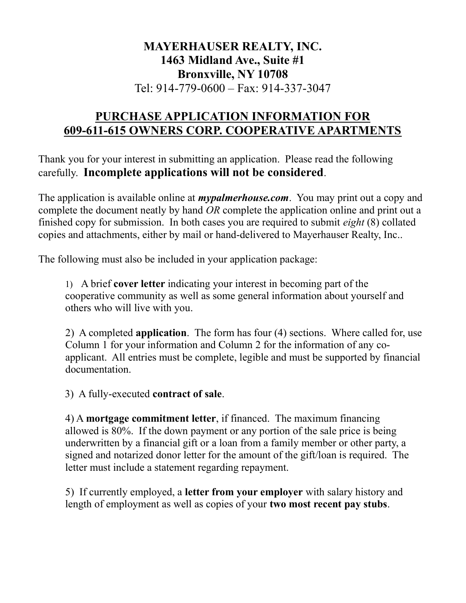# MAYERHAUSER REALTY, INC. 1463 Midland Ave., Suite #1 Bronxville, NY 10708 Tel: 914-779-0600 – Fax: 914-337-3047

# PURCHASE APPLICATION INFORMATION FOR 609-611-615 OWNERS CORP. COOPERATIVE APARTMENTS

Thank you for your interest in submitting an application. Please read the following carefully. Incomplete applications will not be considered.

The application is available online at *mypalmerhouse.com*. You may print out a copy and complete the document neatly by hand OR complete the application online and print out a finished copy for submission. In both cases you are required to submit eight (8) collated copies and attachments, either by mail or hand-delivered to Mayerhauser Realty, Inc..

The following must also be included in your application package:

1) A brief cover letter indicating your interest in becoming part of the cooperative community as well as some general information about yourself and others who will live with you.

2) A completed application. The form has four (4) sections. Where called for, use Column 1 for your information and Column 2 for the information of any coapplicant. All entries must be complete, legible and must be supported by financial documentation.

3) A fully-executed contract of sale.

4) A mortgage commitment letter, if financed. The maximum financing allowed is 80%. If the down payment or any portion of the sale price is being underwritten by a financial gift or a loan from a family member or other party, a signed and notarized donor letter for the amount of the gift/loan is required. The letter must include a statement regarding repayment.

5) If currently employed, a letter from your employer with salary history and length of employment as well as copies of your two most recent pay stubs.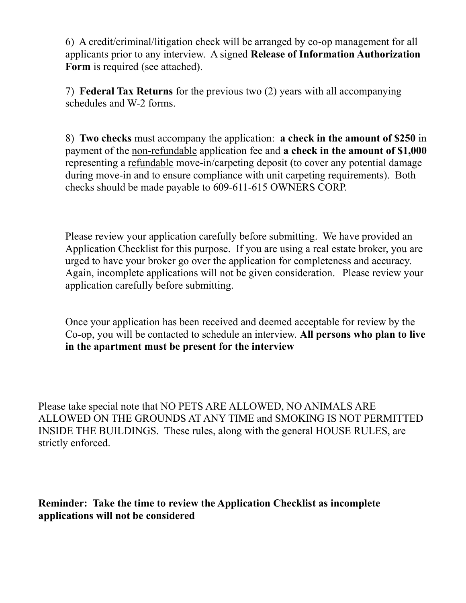6) A credit/criminal/litigation check will be arranged by co-op management for all applicants prior to any interview. A signed Release of Information Authorization Form is required (see attached).

7) Federal Tax Returns for the previous two (2) years with all accompanying schedules and W-2 forms.

8) Two checks must accompany the application: a check in the amount of \$250 in payment of the non-refundable application fee and a check in the amount of \$1,000 representing a refundable move-in/carpeting deposit (to cover any potential damage during move-in and to ensure compliance with unit carpeting requirements). Both checks should be made payable to 609-611-615 OWNERS CORP.

Please review your application carefully before submitting. We have provided an Application Checklist for this purpose. If you are using a real estate broker, you are urged to have your broker go over the application for completeness and accuracy. Again, incomplete applications will not be given consideration. Please review your application carefully before submitting.

Once your application has been received and deemed acceptable for review by the Co-op, you will be contacted to schedule an interview. All persons who plan to live in the apartment must be present for the interview

Please take special note that NO PETS ARE ALLOWED, NO ANIMALS ARE ALLOWED ON THE GROUNDS AT ANY TIME and SMOKING IS NOT PERMITTED INSIDE THE BUILDINGS. These rules, along with the general HOUSE RULES, are strictly enforced.

Reminder: Take the time to review the Application Checklist as incomplete applications will not be considered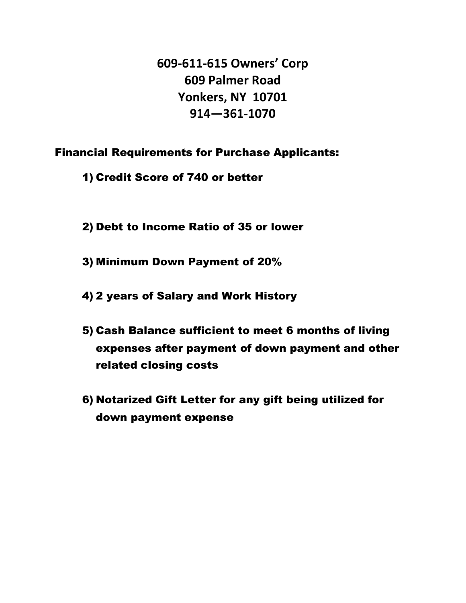609-611-615 Owners' Corp 609 Palmer Road Yonkers, NY 10701 914—361-1070

Financial Requirements for Purchase Applicants:

1) Credit Score of 740 or better

- 2) Debt to Income Ratio of 35 or lower
- 3) Minimum Down Payment of 20%
- 4) 2 years of Salary and Work History
- 5) Cash Balance sufficient to meet 6 months of living expenses after payment of down payment and other related closing costs
- 6) Notarized Gift Letter for any gift being utilized for down payment expense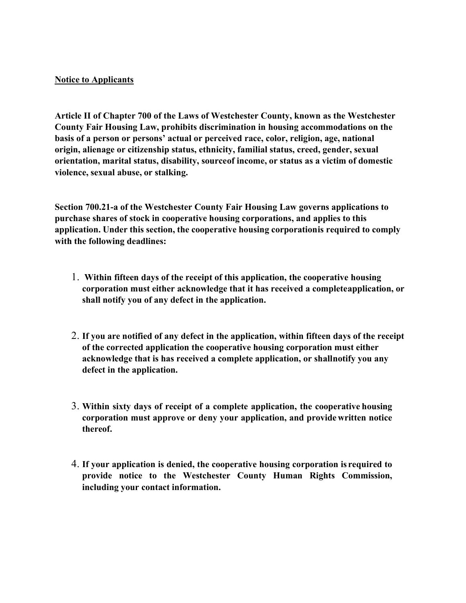#### Notice to Applicants

Article II of Chapter 700 of the Laws of Westchester County, known as the Westchester County Fair Housing Law, prohibits discrimination in housing accommodations on the basis of a person or persons' actual or perceived race, color, religion, age, national origin, alienage or citizenship status, ethnicity, familial status, creed, gender, sexual orientation, marital status, disability, source of income, or status as a victim of domestic violence, sexual abuse, or stalking.

Section 700.21-a of the Westchester County Fair Housing Law governs applications to purchase shares of stock in cooperative housing corporations, and applies to this application. Under this section, the cooperative housing corporation is required to comply with the following deadlines:

- 1. Within fifteen days of the receipt of this application, the cooperative housing corporation must either acknowledge that it has received a complete application, or shall notify you of any defect in the application.
- 2. If you are notified of any defect in the application, within fifteen days of the receipt of the corrected application the cooperative housing corporation must either acknowledge that is has received a complete application, or shall notify you any defect in the application.
- 3. Within sixty days of receipt of a complete application, the cooperative housing corporation must approve or deny your application, and provide written notice thereof.
- 4. If your application is denied, the cooperative housing corporation is required to provide notice to the Westchester County Human Rights Commission, including your contact information.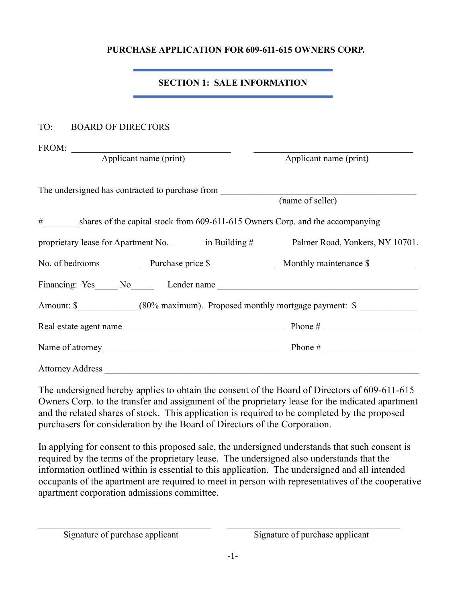#### PURCHASE APPLICATION FOR 609-611-615 OWNERS CORP.

## SECTION 1: SALE INFORMATION

#### TO: BOARD OF DIRECTORS

FROM:

Applicant name (print) Applicant name (print)

| The undersigned has contracted to purchase from                                   |                  |
|-----------------------------------------------------------------------------------|------------------|
|                                                                                   | (name of seller) |
| # shares of the capital stock from 609-611-615 Owners Corp. and the accompanying  |                  |
| proprietary lease for Apartment No. in Building # Palmer Road, Yonkers, NY 10701. |                  |
|                                                                                   |                  |
| Financing: Yes No Lender name                                                     |                  |
| Amount: \$ (80% maximum). Proposed monthly mortgage payment: \$                   |                  |
| Real estate agent name                                                            |                  |
|                                                                                   |                  |
| <b>Attorney Address</b>                                                           |                  |

The undersigned hereby applies to obtain the consent of the Board of Directors of 609-611-615 Owners Corp. to the transfer and assignment of the proprietary lease for the indicated apartment and the related shares of stock. This application is required to be completed by the proposed purchasers for consideration by the Board of Directors of the Corporation.

In applying for consent to this proposed sale, the undersigned understands that such consent is required by the terms of the proprietary lease. The undersigned also understands that the information outlined within is essential to this application. The undersigned and all intended occupants of the apartment are required to meet in person with representatives of the cooperative apartment corporation admissions committee.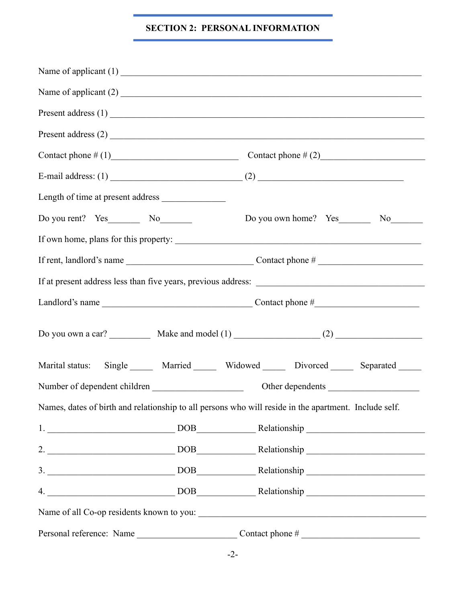#### SECTION 2: PERSONAL INFORMATION

| Contact phone $\# (1)$ Contact phone $\# (2)$                                                         |  |                  |
|-------------------------------------------------------------------------------------------------------|--|------------------|
|                                                                                                       |  |                  |
| Length of time at present address                                                                     |  |                  |
|                                                                                                       |  |                  |
|                                                                                                       |  |                  |
|                                                                                                       |  |                  |
|                                                                                                       |  |                  |
|                                                                                                       |  |                  |
|                                                                                                       |  |                  |
| Marital status: Single ______ Married _____ Widowed _____ Divorced _____ Separated _____              |  |                  |
|                                                                                                       |  | Other dependents |
| Names, dates of birth and relationship to all persons who will reside in the apartment. Include self. |  |                  |
| 1. DOB Relationship                                                                                   |  |                  |
| 2. DOB Relationship                                                                                   |  |                  |
| 3. DOB Relationship                                                                                   |  |                  |
| 4. Nelationship Relationship                                                                          |  |                  |
|                                                                                                       |  |                  |
| Personal reference: Name                                                                              |  |                  |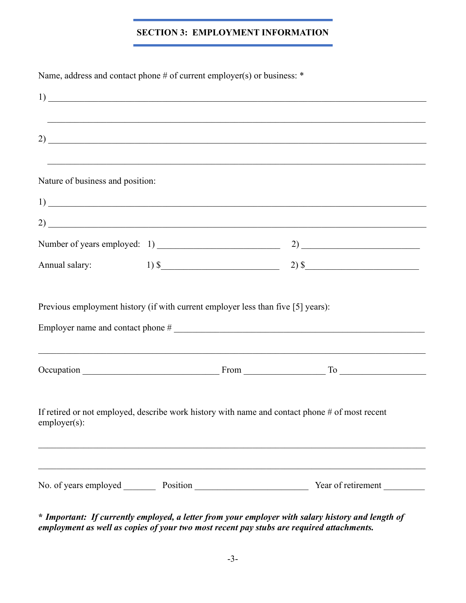## SECTION 3: EMPLOYMENT INFORMATION

| Name, address and contact phone # of current employer(s) or business: *                                           |                                                                                                                      |
|-------------------------------------------------------------------------------------------------------------------|----------------------------------------------------------------------------------------------------------------------|
| $\frac{1}{2}$                                                                                                     |                                                                                                                      |
| $\overline{2}$ )                                                                                                  | <u> 1999 - 1999 - 1999 - 1999 - 1999 - 1999 - 1999 - 1999 - 1999 - 1999 - 1999 - 1999 - 1999 - 1999 - 1999 - 199</u> |
| Nature of business and position:                                                                                  |                                                                                                                      |
| $\frac{1}{2}$                                                                                                     |                                                                                                                      |
|                                                                                                                   |                                                                                                                      |
| Number of years employed: 1)                                                                                      |                                                                                                                      |
| Annual salary:                                                                                                    | $1)$ \$                                                                                                              |
| Previous employment history (if with current employer less than five [5] years):                                  |                                                                                                                      |
|                                                                                                                   |                                                                                                                      |
| If retired or not employed, describe work history with name and contact phone # of most recent<br>$employer(s)$ : |                                                                                                                      |
|                                                                                                                   | Year of retirement                                                                                                   |

\* Important: If currently employed, a letter from your employer with salary history and length of employment as well as copies of your two most recent pay stubs are required attachments.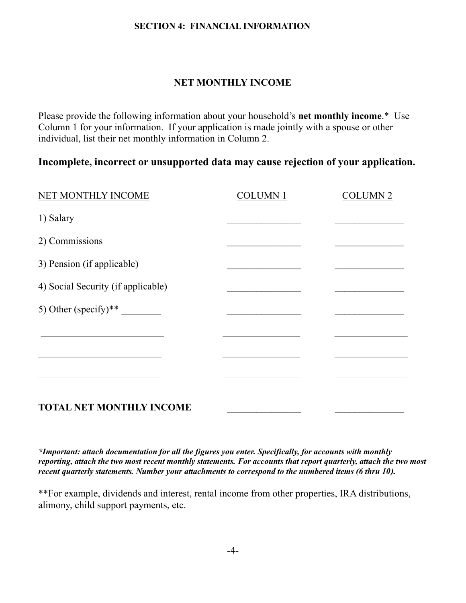#### SECTION 4: FINANCIAL INFORMATION

### NET MONTHLY INCOME

Please provide the following information about your household's net monthly income.\* Use Column 1 for your information. If your application is made jointly with a spouse or other individual, list their net monthly information in Column 2.

## Incomplete, incorrect or unsupported data may cause rejection of your application.

| NET MONTHLY INCOME                 | <b>COLUMN1</b> | <b>COLUMN 2</b> |
|------------------------------------|----------------|-----------------|
| 1) Salary                          |                |                 |
| 2) Commissions                     |                |                 |
| 3) Pension (if applicable)         |                |                 |
| 4) Social Security (if applicable) |                |                 |
| 5) Other (specify)**               |                |                 |
|                                    |                |                 |
|                                    |                |                 |
|                                    |                |                 |
| <b>TOTAL NET MONTHLY INCOME</b>    |                |                 |

\*Important: attach documentation for all the figures you enter. Specifically, for accounts with monthly reporting, attach the two most recent monthly statements. For accounts that report quarterly, attach the two most recent quarterly statements. Number your attachments to correspond to the numbered items (6 thru 10).

\*\*For example, dividends and interest, rental income from other properties, IRA distributions, alimony, child support payments, etc.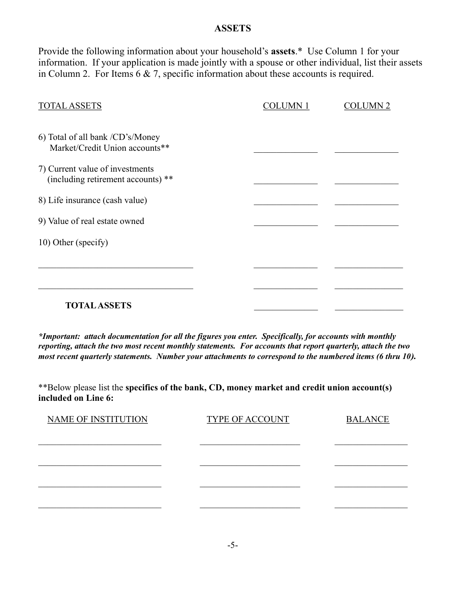#### **ASSETS**

Provide the following information about your household's assets.\* Use Column 1 for your information. If your application is made jointly with a spouse or other individual, list their assets in Column 2. For Items 6 & 7, specific information about these accounts is required.

| <b>TOTAL ASSETS</b>                                                   | <b>COLUMN1</b> | <b>COLUMN 2</b> |
|-----------------------------------------------------------------------|----------------|-----------------|
|                                                                       |                |                 |
| 6) Total of all bank /CD's/Money<br>Market/Credit Union accounts**    |                |                 |
| 7) Current value of investments<br>(including retirement accounts) ** |                |                 |
| 8) Life insurance (cash value)                                        |                |                 |
| 9) Value of real estate owned                                         |                |                 |
| 10) Other (specify)                                                   |                |                 |
|                                                                       |                |                 |
|                                                                       |                |                 |
| <b>TOTAL ASSETS</b>                                                   |                |                 |

\*Important: attach documentation for all the figures you enter. Specifically, for accounts with monthly reporting, attach the two most recent monthly statements. For accounts that report quarterly, attach the two most recent quarterly statements. Number your attachments to correspond to the numbered items (6 thru 10).

\*\*Below please list the specifics of the bank, CD, money market and credit union account(s) included on Line 6:

| <b>TYPE OF ACCOUNT</b> | <b>BALANCE</b> |
|------------------------|----------------|
|                        |                |
|                        |                |
|                        |                |
|                        |                |
|                        |                |
|                        |                |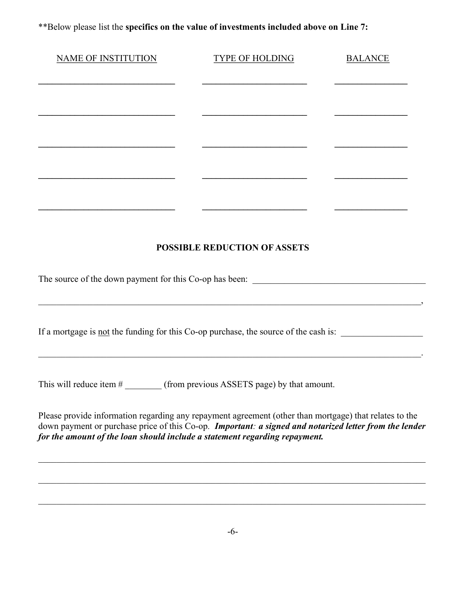\*\*Below please list the specifics on the value of investments included above on Line 7:

| <b>NAME OF INSTITUTION</b>                                                                                                                                                                                                                                                                     | <b>TYPE OF HOLDING</b>                                                                                                 | <b>BALANCE</b> |
|------------------------------------------------------------------------------------------------------------------------------------------------------------------------------------------------------------------------------------------------------------------------------------------------|------------------------------------------------------------------------------------------------------------------------|----------------|
|                                                                                                                                                                                                                                                                                                |                                                                                                                        |                |
|                                                                                                                                                                                                                                                                                                |                                                                                                                        |                |
|                                                                                                                                                                                                                                                                                                |                                                                                                                        |                |
|                                                                                                                                                                                                                                                                                                |                                                                                                                        |                |
|                                                                                                                                                                                                                                                                                                |                                                                                                                        |                |
|                                                                                                                                                                                                                                                                                                |                                                                                                                        |                |
|                                                                                                                                                                                                                                                                                                |                                                                                                                        |                |
|                                                                                                                                                                                                                                                                                                | <b>POSSIBLE REDUCTION OF ASSETS</b>                                                                                    |                |
|                                                                                                                                                                                                                                                                                                |                                                                                                                        |                |
| If a mortgage is <u>not</u> the funding for this Co-op purchase, the source of the cash is:                                                                                                                                                                                                    | <u> 1989 - Johann Stoff, deutscher Stoffen und der Stoffen und der Stoffen und der Stoffen und der Stoffen und der</u> |                |
| This will reduce item $#$                                                                                                                                                                                                                                                                      | (from previous ASSETS page) by that amount.                                                                            |                |
| Please provide information regarding any repayment agreement (other than mortgage) that relates to the<br>down payment or purchase price of this Co-op. Important: a signed and notarized letter from the lender<br>for the amount of the loan should include a statement regarding repayment. |                                                                                                                        |                |
|                                                                                                                                                                                                                                                                                                |                                                                                                                        |                |
|                                                                                                                                                                                                                                                                                                |                                                                                                                        |                |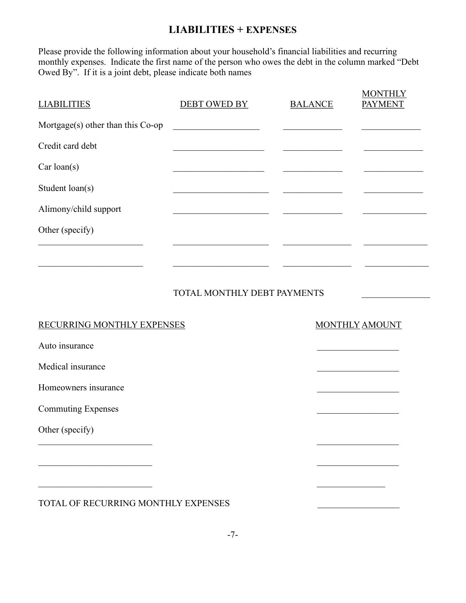### LIABILITIES + EXPENSES

Please provide the following information about your household's financial liabilities and recurring monthly expenses. Indicate the first name of the person who owes the debt in the column marked "Debt Owed By". If it is a joint debt, please indicate both names

| <b>LIABILITIES</b>                   | DEBT OWED BY                | <b>BALANCE</b> | <b>MONTHLY</b><br><b>PAYMENT</b> |
|--------------------------------------|-----------------------------|----------------|----------------------------------|
| Mortgage $(s)$ other than this Co-op |                             |                |                                  |
| Credit card debt                     |                             |                |                                  |
| Car loan(s)                          |                             |                |                                  |
| Student loan(s)                      |                             |                |                                  |
| Alimony/child support                |                             |                |                                  |
| Other (specify)                      |                             |                |                                  |
|                                      |                             |                |                                  |
|                                      |                             |                |                                  |
|                                      | TOTAL MONTHLY DEBT PAYMENTS |                |                                  |
|                                      |                             |                |                                  |

#### RECURRING MONTHLY EXPENSES MONTHLY AMOUNT

Auto insurance

Medical insurance

Homeowners insurance

Commuting Expenses

Other (specify)

TOTAL OF RECURRING MONTHLY EXPENSES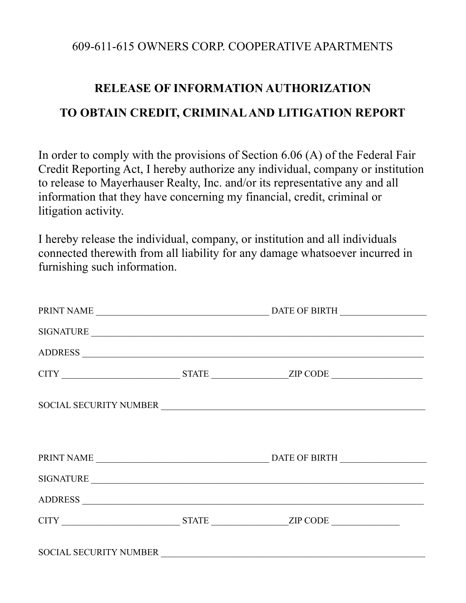## 609-611-615 OWNERS CORP. COOPERATIVE APARTMENTS

# RELEASE OF INFORMATION AUTHORIZATION TO OBTAIN CREDIT, CRIMINAL AND LITIGATION REPORT

In order to comply with the provisions of Section 6.06 (A) of the Federal Fair Credit Reporting Act, I hereby authorize any individual, company or institution to release to Mayerhauser Realty, Inc. and/or its representative any and all information that they have concerning my financial, credit, criminal or litigation activity.

I hereby release the individual, company, or institution and all individuals connected therewith from all liability for any damage whatsoever incurred in furnishing such information.

|  | SIGNATURE              |
|--|------------------------|
|  |                        |
|  |                        |
|  | SOCIAL SECURITY NUMBER |
|  |                        |
|  |                        |
|  | SIGNATURE              |
|  |                        |
|  |                        |
|  |                        |